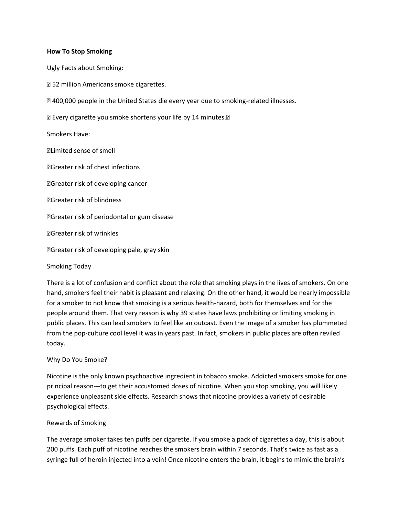#### **How To Stop Smoking**

Ugly Facts about Smoking:

- " 52 million Americans smoke cigarettes.
- ", 400,000 people in the United States die every year due to smoking-related illnesses.
- " Every cigarette you smoke shortens your life by 14 minutes."

#### Smokers Have:

- " Limited sense of smell
- "Greater risk of chest infections
- "Greater risk of developing cancer
- "Greater risk of blindness
- "Greater risk of periodontal or gum disease
- "Greater risk of wrinkles
- "Greater risk of developing pale, gray skin

## Smoking Today

There is a lot of confusion and conflict about the role that smoking plays in the lives of smokers. On one hand, smokers feel their habit is pleasant and relaxing. On the other hand, it would be nearly impossible for a smoker to not know that smoking is a serious health-hazard, both for themselves and for the people around them. That very reason is why 39 states have laws prohibiting or limiting smoking in public places. This can lead smokers to feel like an outcast. Even the image of a smoker has plummeted from the pop-culture cool level it was in years past. In fact, smokers in public places are often reviled today.

## Why Do You Smoke?

Nicotine is the only known psychoactive ingredient in tobacco smoke. Addicted smokers smoke for one principal reason---to get their accustomed doses of nicotine. When you stop smoking, you will likely experience unpleasant side effects. Research shows that nicotine provides a variety of desirable psychological effects.

#### Rewards of Smoking

The average smoker takes ten puffs per cigarette. If you smoke a pack of cigarettes a day, this is about 200 puffs. Each puff of nicotine reaches the smokers brain within 7 seconds. That's twice as fast as a syringe full of heroin injected into a vein! Once nicotine enters the brain, it begins to mimic the brain's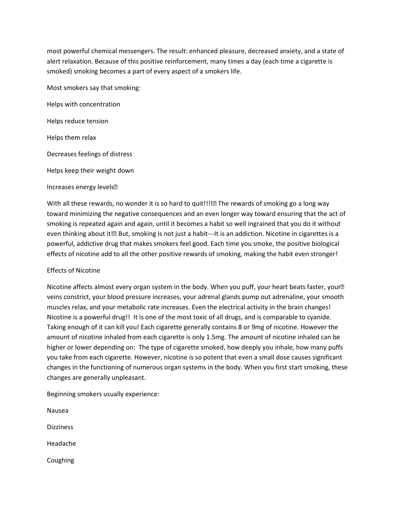most powerful chemical messengers. The result: enhanced pleasure, decreased anxiety, and a state of alert relaxation. Because of this positive reinforcement, many times a day (each time a cigarette is smoked) smoking becomes a part of every aspect of a smokers life.

Most smokers say that smoking:

Helps with concentration

Helps reduce tension

Helps them relax

Decreases feelings of distress

Helps keep their weight down

Increases energy levels,,

With all these rewards, no wonder it is so hard to quit!!!!, The rewards of smoking go a long way toward minimizing the negative consequences and an even longer way toward ensuring that the act of smoking is repeated again and again, until it becomes a habit so well ingrained that you do it without even thinking about it!, But, smoking is not just a habit---It is an addiction. Nicotine in cigarettes is a powerful, addictive drug that makes smokers feel good. Each time you smoke, the positive biological effects of nicotine add to all the other positive rewards of smoking, making the habit even stronger!

## Effects of Nicotine

Nicotine affects almost every organ system in the body. When you puff, your heart beats faster, your,, veins constrict, your blood pressure increases, your adrenal glands pump out adrenaline, your smooth muscles relax, and your metabolic rate increases. Even the electrical activity in the brain changes! Nicotine is a powerful drug!! It is one of the most toxic of all drugs, and is comparable to cyanide. Taking enough of it can kill you! Each cigarette generally contains 8 or 9mg of nicotine. However the amount of nicotine inhaled from each cigarette is only 1.5mg. The amount of nicotine inhaled can be higher or lower depending on: The type of cigarette smoked, how deeply you inhale, how many puffs you take from each cigarette. However, nicotine is so potent that even a small dose causes significant changes in the functioning of numerous organ systems in the body. When you first start smoking, these changes are generally unpleasant.

Beginning smokers usually experience:

Nausea **Dizziness** Headache Coughing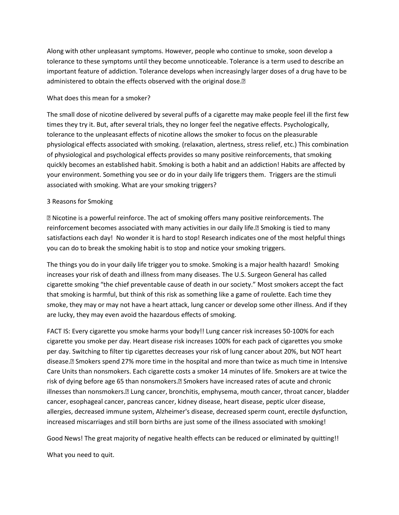Along with other unpleasant symptoms. However, people who continue to smoke, soon develop a tolerance to these symptoms until they become unnoticeable. Tolerance is a term used to describe an important feature of addiction. Tolerance develops when increasingly larger doses of a drug have to be administered to obtain the effects observed with the original dose.,

# What does this mean for a smoker?

The small dose of nicotine delivered by several puffs of a cigarette may make people feel ill the first few times they try it. But, after several trials, they no longer feel the negative effects. Psychologically, tolerance to the unpleasant effects of nicotine allows the smoker to focus on the pleasurable physiological effects associated with smoking. (relaxation, alertness, stress relief, etc.) This combination of physiological and psychological effects provides so many positive reinforcements, that smoking quickly becomes an established habit. Smoking is both a habit and an addiction! Habits are affected by your environment. Something you see or do in your daily life triggers them. Triggers are the stimuli associated with smoking. What are your smoking triggers?

# 3 Reasons for Smoking

" Nicotine is a powerful reinforce. The act of smoking offers many positive reinforcements. The reinforcement becomes associated with many activities in our daily life... Smoking is tied to many satisfactions each day! No wonder it is hard to stop! Research indicates one of the most helpful things you can do to break the smoking habit is to stop and notice your smoking triggers.

The things you do in your daily life trigger you to smoke. Smoking is a major health hazard! Smoking increases your risk of death and illness from many diseases. The U.S. Surgeon General has called cigarette smoking "the chief preventable cause of death in our society." Most smokers accept the fact that smoking is harmful, but think of this risk as something like a game of roulette. Each time they smoke, they may or may not have a heart attack, lung cancer or develop some other illness. And if they are lucky, they may even avoid the hazardous effects of smoking.

FACT IS: Every cigarette you smoke harms your body!! Lung cancer risk increases 50-100% for each cigarette you smoke per day. Heart disease risk increases 100% for each pack of cigarettes you smoke per day. Switching to filter tip cigarettes decreases your risk of lung cancer about 20%, but NOT heart disease., Smokers spend 27% more time in the hospital and more than twice as much time in Intensive Care Units than nonsmokers. Each cigarette costs a smoker 14 minutes of life. Smokers are at twice the risk of dying before age 65 than nonsmokers... Smokers have increased rates of acute and chronic illnesses than nonsmokers.,, Lung cancer, bronchitis, emphysema, mouth cancer, throat cancer, bladder cancer, esophageal cancer, pancreas cancer, kidney disease, heart disease, peptic ulcer disease, allergies, decreased immune system, Alzheimer's disease, decreased sperm count, erectile dysfunction, increased miscarriages and still born births are just some of the illness associated with smoking!

Good News! The great majority of negative health effects can be reduced or eliminated by quitting!!

What you need to quit.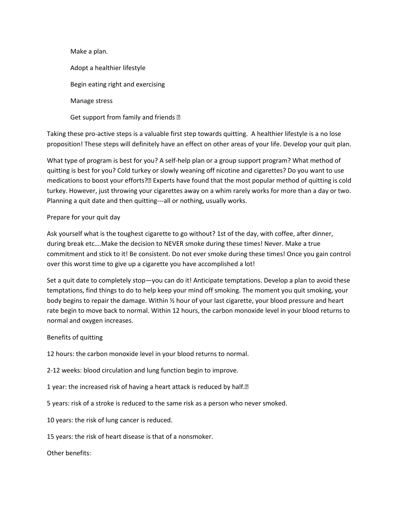Make a plan. Adopt a healthier lifestyle Begin eating right and exercising Manage stress

Get support from family and friends "

Taking these pro-active steps is a valuable first step towards quitting. A healthier lifestyle is a no lose proposition! These steps will definitely have an effect on other areas of your life. Develop your quit plan.

What type of program is best for you? A self-help plan or a group support program? What method of quitting is best for you? Cold turkey or slowly weaning off nicotine and cigarettes? Do you want to use medications to boost your efforts?, Experts have found that the most popular method of quitting is cold turkey. However, just throwing your cigarettes away on a whim rarely works for more than a day or two. Planning a quit date and then quitting---all or nothing, usually works.

# Prepare for your quit day

Ask yourself what is the toughest cigarette to go without? 1st of the day, with coffee, after dinner, during break etc….Make the decision to NEVER smoke during these times! Never. Make a true commitment and stick to it! Be consistent. Do not ever smoke during these times! Once you gain control over this worst time to give up a cigarette you have accomplished a lot!

Set a quit date to completely stop—you can do it! Anticipate temptations. Develop a plan to avoid these temptations, find things to do to help keep your mind off smoking. The moment you quit smoking, your body begins to repair the damage. Within ½ hour of your last cigarette, your blood pressure and heart rate begin to move back to normal. Within 12 hours, the carbon monoxide level in your blood returns to normal and oxygen increases.

## Benefits of quitting

12 hours: the carbon monoxide level in your blood returns to normal.

2-12 weeks: blood circulation and lung function begin to improve.

1 year: the increased risk of having a heart attack is reduced by half.,

5 years: risk of a stroke is reduced to the same risk as a person who never smoked.

10 years: the risk of lung cancer is reduced.

15 years: the risk of heart disease is that of a nonsmoker.

Other benefits: